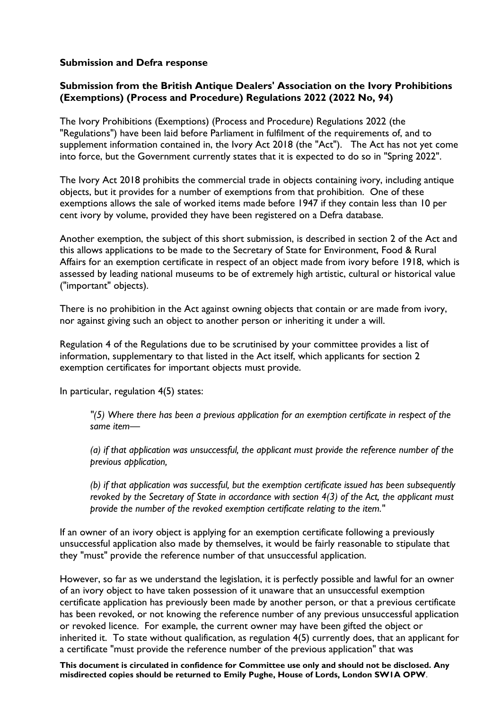### **Submission and Defra response**

## **Submission from the British Antique Dealers' Association on the Ivory Prohibitions (Exemptions) (Process and Procedure) Regulations 2022 (2022 No, 94)**

The Ivory Prohibitions (Exemptions) (Process and Procedure) Regulations 2022 (the "Regulations") have been laid before Parliament in fulfilment of the requirements of, and to supplement information contained in, the Ivory Act 2018 (the "Act"). The Act has not yet come into force, but the Government currently states that it is expected to do so in "Spring 2022".

The Ivory Act 2018 prohibits the commercial trade in objects containing ivory, including antique objects, but it provides for a number of exemptions from that prohibition. One of these exemptions allows the sale of worked items made before 1947 if they contain less than 10 per cent ivory by volume, provided they have been registered on a Defra database.

Another exemption, the subject of this short submission, is described in section 2 of the Act and this allows applications to be made to the Secretary of State for Environment, Food & Rural Affairs for an exemption certificate in respect of an object made from ivory before 1918, which is assessed by leading national museums to be of extremely high artistic, cultural or historical value ("important" objects).

There is no prohibition in the Act against owning objects that contain or are made from ivory, nor against giving such an object to another person or inheriting it under a will.

Regulation 4 of the Regulations due to be scrutinised by your committee provides a list of information, supplementary to that listed in the Act itself, which applicants for section 2 exemption certificates for important objects must provide.

In particular, regulation 4(5) states:

*"(5) Where there has been a previous application for an exemption certificate in respect of the same item—*

*(a) if that application was unsuccessful, the applicant must provide the reference number of the previous application,*

*(b) if that application was successful, but the exemption certificate issued has been subsequently revoked by the Secretary of State in accordance with section 4(3) of the Act, the applicant must provide the number of the revoked exemption certificate relating to the item."*

If an owner of an ivory object is applying for an exemption certificate following a previously unsuccessful application also made by themselves, it would be fairly reasonable to stipulate that they "must" provide the reference number of that unsuccessful application.

However, so far as we understand the legislation, it is perfectly possible and lawful for an owner of an ivory object to have taken possession of it unaware that an unsuccessful exemption certificate application has previously been made by another person, or that a previous certificate has been revoked, or not knowing the reference number of any previous unsuccessful application or revoked licence. For example, the current owner may have been gifted the object or inherited it. To state without qualification, as regulation 4(5) currently does, that an applicant for a certificate "must provide the reference number of the previous application" that was

**This document is circulated in confidence for Committee use only and should not be disclosed. Any misdirected copies should be returned to Emily Pughe, House of Lords, London SW1A OPW**.